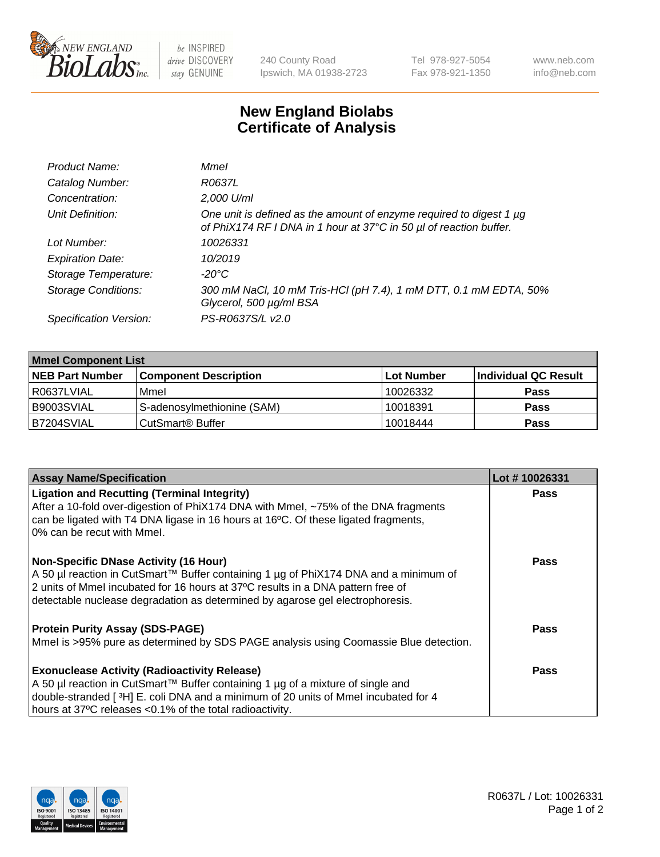

be INSPIRED drive DISCOVERY stay GENUINE

240 County Road Ipswich, MA 01938-2723 Tel 978-927-5054 Fax 978-921-1350 www.neb.com info@neb.com

## **New England Biolabs Certificate of Analysis**

| Product Name:              | Mmel                                                                                                                                      |
|----------------------------|-------------------------------------------------------------------------------------------------------------------------------------------|
| Catalog Number:            | R0637L                                                                                                                                    |
| Concentration:             | 2,000 U/ml                                                                                                                                |
| Unit Definition:           | One unit is defined as the amount of enzyme required to digest 1 µg<br>of PhiX174 RF I DNA in 1 hour at 37°C in 50 µl of reaction buffer. |
| Lot Number:                | 10026331                                                                                                                                  |
| <b>Expiration Date:</b>    | 10/2019                                                                                                                                   |
| Storage Temperature:       | -20°C                                                                                                                                     |
| <b>Storage Conditions:</b> | 300 mM NaCl, 10 mM Tris-HCl (pH 7.4), 1 mM DTT, 0.1 mM EDTA, 50%<br>Glycerol, 500 µg/ml BSA                                               |
| Specification Version:     | PS-R0637S/L v2.0                                                                                                                          |

| <b>Mmel Component List</b> |                              |            |                      |  |
|----------------------------|------------------------------|------------|----------------------|--|
| <b>NEB Part Number</b>     | <b>Component Description</b> | Lot Number | Individual QC Result |  |
| R0637LVIAL                 | Mmel                         | 10026332   | <b>Pass</b>          |  |
| B9003SVIAL                 | S-adenosylmethionine (SAM)   | 10018391   | <b>Pass</b>          |  |
| B7204SVIAL                 | CutSmart <sup>®</sup> Buffer | 10018444   | <b>Pass</b>          |  |

| <b>Assay Name/Specification</b>                                                                                                                                                                                                                                                                            | Lot #10026331 |
|------------------------------------------------------------------------------------------------------------------------------------------------------------------------------------------------------------------------------------------------------------------------------------------------------------|---------------|
| <b>Ligation and Recutting (Terminal Integrity)</b><br>After a 10-fold over-digestion of PhiX174 DNA with Mmel, ~75% of the DNA fragments<br>can be ligated with T4 DNA ligase in 16 hours at 16 $\degree$ C. Of these ligated fragments,<br>10% can be recut with Mmel.                                    | <b>Pass</b>   |
| <b>Non-Specific DNase Activity (16 Hour)</b><br>  A 50 µl reaction in CutSmart™ Buffer containing 1 µg of PhiX174 DNA and a minimum of<br>2 units of Mmel incubated for 16 hours at 37°C results in a DNA pattern free of<br>detectable nuclease degradation as determined by agarose gel electrophoresis. | <b>Pass</b>   |
| <b>Protein Purity Assay (SDS-PAGE)</b><br>Mmel is >95% pure as determined by SDS PAGE analysis using Coomassie Blue detection.                                                                                                                                                                             | <b>Pass</b>   |
| <b>Exonuclease Activity (Radioactivity Release)</b><br>A 50 µl reaction in CutSmart™ Buffer containing 1 µg of a mixture of single and<br>double-stranded [3H] E. coli DNA and a minimum of 20 units of Mmel incubated for 4<br>hours at 37°C releases <0.1% of the total radioactivity.                   | <b>Pass</b>   |